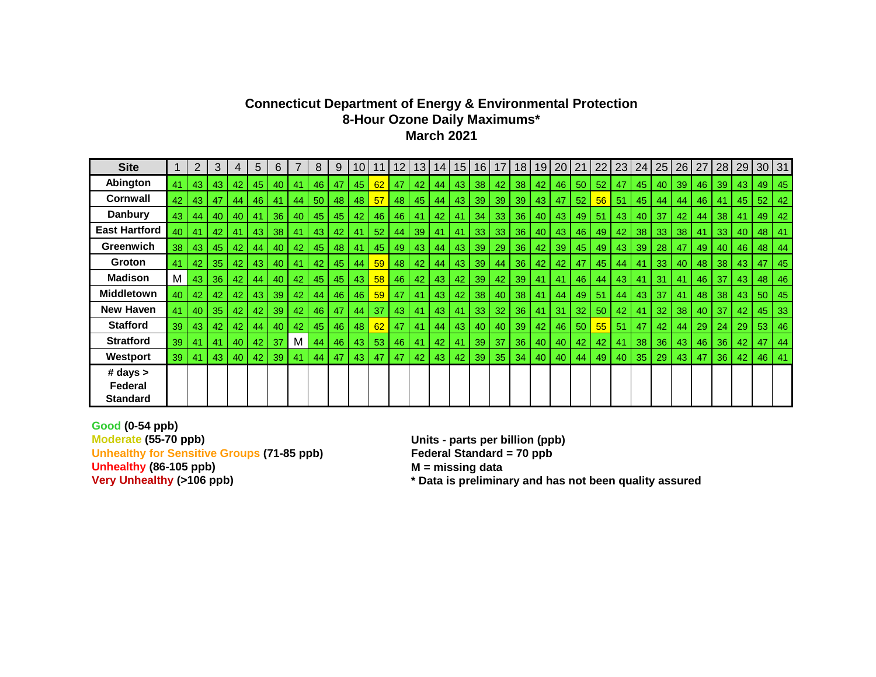#### **Connecticut Department of Energy & Environmental Protection 8-Hour Ozone Daily Maximums\* March 2021**

| <b>Site</b>                            |    |     | 3               | 4  | 5  | 6  |    | 8  | 9  | 10.             | 11              | 12 | 13 | 14 I | $15\,$ | 16 <sup>1</sup> | 17 | 18 | 19 | 20 | 21 | 22 | 23 | 24 | 25   | 26 | 27 | 28  | 29 | $30$ 31 |    |
|----------------------------------------|----|-----|-----------------|----|----|----|----|----|----|-----------------|-----------------|----|----|------|--------|-----------------|----|----|----|----|----|----|----|----|------|----|----|-----|----|---------|----|
| Abington                               | 41 | 43  | 43              | 42 | 45 | 40 | 41 | 46 | 47 | 45              | 62              | 47 | 42 | 44   | 43     | 38              | 42 | 38 | 42 | 46 | 50 | 52 | 47 | 45 | 40 l | 39 | 46 | 39  | 43 | 49      | 45 |
| <b>Cornwall</b>                        | 42 | 43  | 47              | 44 | 46 | 41 | 44 | 50 | 48 | 48 I            | 57              | 48 | 45 | 44   | 43     | 39              | 39 | 39 | 43 | 47 | 52 | 56 | 51 | 45 | 44   | 44 | 46 | 41  | 45 | 52      | 42 |
| <b>Danbury</b>                         | 43 | 44  | 40              | 40 | 41 | 36 | 40 | 45 | 45 | 42              | 46              | 46 | 41 | 42   | 41     | 34              | 33 | 36 | 40 | 43 | 49 | 51 | 43 | 40 | 37   | 42 | 44 | 38  | 41 | 49      | 42 |
| <b>East Hartford</b>                   | 40 | 41  | 42              | 41 | 43 | 38 | 41 | 43 | 42 | 41              | 52 <sub>2</sub> | 44 | 39 | 41   | 41     | 33 <sub>o</sub> | 33 | 36 | 40 | 43 | 46 | 49 | 42 | 38 | 33   | 38 | 41 | 33  | 40 | 48      | 41 |
| Greenwich                              | 38 | 43  | 45              | 42 | 44 | 40 | 42 | 45 | 48 | 41              | 45              | 49 | 43 | 44   | 43     | 39              | 29 | 36 | 42 | 39 | 45 | 49 | 43 | 39 | 28   | 47 | 49 | 40  | 46 | 48      | 44 |
| Groton                                 | 41 | 42  | 35              | 42 | 43 | 40 | 41 | 42 | 45 | 44              | 59              | 48 | 42 | 44   | 43     | 39              | 44 | 36 | 42 | 42 | 47 | 45 | 44 | 41 | 33   | 40 | 48 | 38  | 43 | -47     | 45 |
| <b>Madison</b>                         | M  | 43  | 36              | 42 | 44 | 40 | 42 | 45 | 45 | 43 <sup>1</sup> | 58              | 46 | 42 | 43   | 42     | 39              | 42 | 39 | 41 | 41 | 46 | 44 | 43 | 41 | 31   | 41 | 46 | 37  | 43 | 48      | 46 |
| <b>Middletown</b>                      | 40 | 42  | 42              | 42 | 43 | 39 | 42 | 44 | 46 | 46              | 59              | 47 | 41 | 43   | 42     | 38              | 40 | 38 | 41 | 44 | 49 | 51 | 44 | 43 | 37   | 41 | 48 | 38  | 43 | 50      | 45 |
| <b>New Haven</b>                       | 41 | 40  | 35 <sub>1</sub> | 42 | 42 | 39 | 42 | 46 | 47 | 44              | 37              | 43 | 41 | 43   | 41     | -33             | 32 | 36 | 41 | 31 | 32 | 50 | 42 | 41 | 32   | 38 | 40 | -37 | 42 | 45      | 33 |
| <b>Stafford</b>                        | 39 | 43  | 42              | 42 | 44 | 40 | 42 | 45 | 46 | 48              | 62              | 47 | 41 | 44   | 43     | 40              | 40 | 39 | 42 | 46 | 50 | 55 | 51 | 47 | 42   | 44 | 29 | 24  | 29 | 53      | 46 |
| <b>Stratford</b>                       | 39 | 41  | 41              | 40 | 42 | 37 | M  | 44 | 46 | 43 <sup>1</sup> | 53              | 46 | 41 | 42   | 41     | 39              | 37 | 36 | 40 | 40 | 42 | 42 | 41 | 38 | 36   | 43 | 46 | 36  | 42 | 47      | 44 |
| Westport                               | 39 | -41 | 43              | 40 | 42 | 39 | 41 | 44 | 47 | 43              | 47              | 47 | 42 | 43   | 42     | 39              | 35 | 34 | 40 | 40 | 44 | 49 | 40 | 35 | 29   | 43 | 47 | 36  | 42 | 46      | 41 |
| # days ><br>Federal<br><b>Standard</b> |    |     |                 |    |    |    |    |    |    |                 |                 |    |    |      |        |                 |    |    |    |    |    |    |    |    |      |    |    |     |    |         |    |

**Good (0-54 ppb) Moderate (55-70 ppb) Units - parts per billion (ppb)** Unhealthy for Sensitive Groups (71-85 ppb) Federal Standard = 70 ppb<br>Unhealthy (86-105 ppb) **Federal Standard = 70 ppb**<br>
M = missing data **Unhealthy (86-105 ppb)**<br>**Very Unhealthy (>106 ppb)**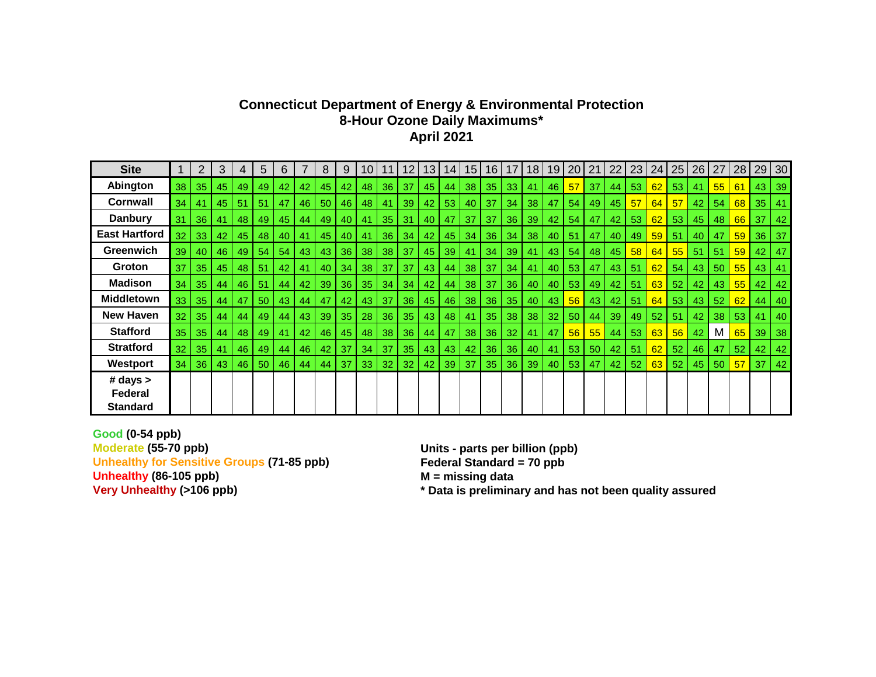# **Connecticut Department of Energy & Environmental Protection 8-Hour Ozone Daily Maximums\* April 2021**

| <b>Site</b>                          |                 | 2               | 3  | 4  | 5  | 6  |    | 8  | 9  |    |                 | 12.             | 13 | 14 <sub>l</sub> | 15 <sub>1</sub> | 16              | 17 | 18 | 19              | 20 | 21  | 22              | 23 | 24 | 25 | 26   | 27 | 28 | 29 | 30 |
|--------------------------------------|-----------------|-----------------|----|----|----|----|----|----|----|----|-----------------|-----------------|----|-----------------|-----------------|-----------------|----|----|-----------------|----|-----|-----------------|----|----|----|------|----|----|----|----|
| Abington                             | 38              | 35              | 45 | 49 | 49 | 42 | 42 | 45 | 42 | 48 | 36              | 37              | 45 | 44              | 38              | 35              | 33 | 41 | 46              | 57 | 37  | 44              | 53 | 62 | 53 | 41   | 55 | 61 | 43 | 39 |
| <b>Cornwall</b>                      | 34              | 41              | 45 | 51 | 51 | 47 | 46 | 50 | 46 | 48 | 41              | 39              | 42 | 53              | 40              | 37              | 34 | 38 | 47              | 54 | 497 | 45              | 57 | 64 | 57 | 42   | 54 | 68 | 35 | 41 |
| <b>Danbury</b>                       | 31              | 36 <sup>°</sup> | 41 | 48 | 49 | 45 | 44 | 49 | 40 | 41 | 35              | 31              | 40 | 47              | 37              | -37             | 36 | 39 | 42              | 54 | 47  | 42              | 53 | 62 | 53 | 45   | 48 | 66 | 37 | 42 |
| <b>East Hartford</b>                 | 32              | 33              | 42 | 45 | 48 | 40 | 41 | 45 | 40 | 41 | 36              | 34              | 42 | 45              | 34              | 36              | 34 | 38 | 40              | 51 | 47  | 40              | 49 | 59 | 51 | 40   | 47 | 59 | 36 | 37 |
| <b>Greenwich</b>                     | 39              | 40              | 46 | 49 | 54 | 54 | 43 | 43 | 36 | 38 | 38              | 37              | 45 | 39              | 41              | 34              | 39 | 41 | 43              | 54 | 48  | 45              | 58 | 64 | 55 | 51   | 51 | 59 | 42 | 47 |
| <b>Groton</b>                        | 37              | 35 <sub>1</sub> | 45 | 48 | 51 | 42 | 41 | 40 | 34 | 38 | 37              | 37              | 43 | 44              | 38              | -37             | 34 | 41 | 40              | 53 | 47  | 43 <sub>l</sub> | 51 | 62 | 54 | 43   | 50 | 55 | 43 | 41 |
| <b>Madison</b>                       | 34              | 35 <sup>1</sup> | 44 | 46 | 51 | 44 | 42 | 39 | 36 | 35 | 34              | 34              | 42 | 44              | 38              | 37              | 36 | 40 | 40              | 53 | 49  | 42              | 51 | 63 | 52 | 42   | 43 | 55 | 42 | 42 |
| <b>Middletown</b>                    | 33 <sup>1</sup> | 35 <sup>1</sup> | 44 | 47 | 50 | 43 | 44 | 47 | 42 | 43 | 37              | 36 <sup>1</sup> | 45 | 46              | 38              | 36              | 35 | 40 | 43              | 56 | 43  | 42              | 51 | 64 | 53 | 43   | 52 | 62 | 44 | 40 |
| New Haven                            | 32              | 35 <sup>1</sup> | 44 | 44 | 49 | 44 | 43 | 39 | 35 | 28 | 36 <sup>°</sup> | 35 <sub>1</sub> | 43 | 48              | 41              | 35 <sub>1</sub> | 38 | 38 | 32 <sub>2</sub> | 50 | 44  | 39              | 49 | 52 | 51 | 42   | 38 | 53 | 41 | 40 |
| <b>Stafford</b>                      | 35 <sub>1</sub> | 35              | 44 | 48 | 49 | 41 | 42 | 46 | 45 | 48 | 38              | 36              | 44 | 47              | 38              | 36              | 32 | 41 | 47              | 56 | 55  | 44              | 53 | 63 | 56 | 42   | M  | 65 | 39 | 38 |
| <b>Stratford</b>                     | 32              | 35              | 41 | 46 | 49 | 44 | 46 | 42 | 37 | 34 | 37              | 35 <sub>1</sub> | 43 | 43              | 42              | 36              | 36 | 40 | 41              | 53 | 50  | 42              | 51 | 62 | 52 | 46   | 47 | 52 | 42 | 42 |
| Westport                             | 34              | 36              | 43 | 46 | 50 | 46 | 44 | 44 | 37 | 33 | 32              | 32              | 42 | 39              | 37              | 35              | 36 | 39 | 40              | 53 | 47  | 42              | 52 | 63 | 52 | 45 l | 50 | 57 | 37 | 42 |
| # days<br>Federal<br><b>Standard</b> |                 |                 |    |    |    |    |    |    |    |    |                 |                 |    |                 |                 |                 |    |    |                 |    |     |                 |    |    |    |      |    |    |    |    |

**Good (0-54 ppb) Unhealthy for Sensitive Groups (71-85 ppb) Federal Standard = 70 ppb Unhealthy (86-105 ppb) M** = missing data<br>Very Unhealthy (>106 ppb) **M** \* Data is prelimina

**Moderate (55-70 ppb) Units - parts per billion (ppb)**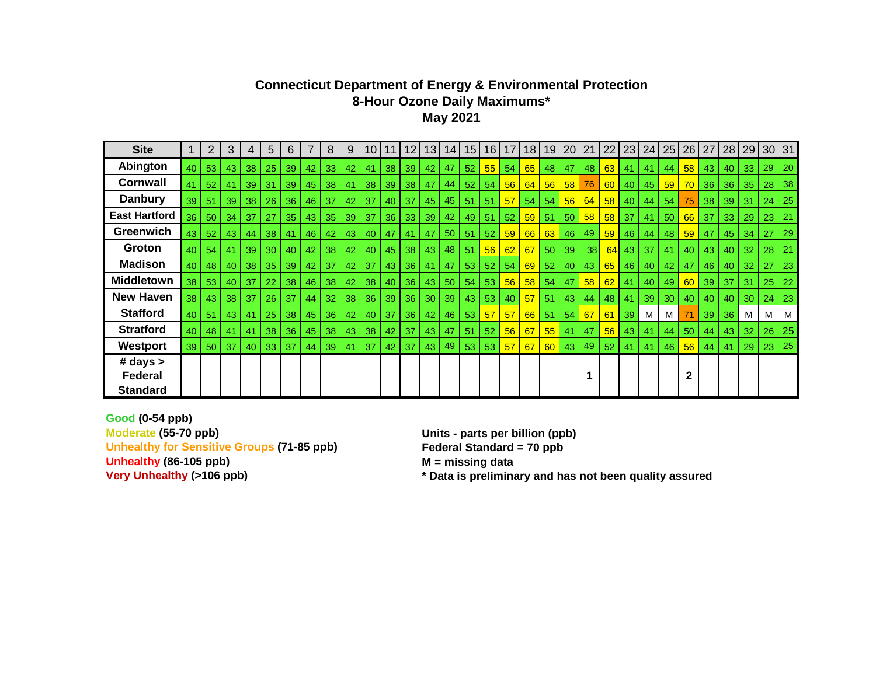## **Connecticut Department of Energy & Environmental Protection 8-Hour Ozone Daily Maximums\* May 2021**

| <b>Site</b>          |    | 2               | 3               | 4               | 5               | 6          |    | 8               | 9               | 10 <sup>1</sup>   | 11              | 12           | 13 <sup>1</sup> | 14 <sub>1</sub> | 15 | 16    | 17 <sup>1</sup> | 18 <sup>1</sup> |                 | 19 20 | 21           | 22              |      | 23 24           | 25              | $26$   27 |                 |                 |                 | 28 29 30 31  |              |
|----------------------|----|-----------------|-----------------|-----------------|-----------------|------------|----|-----------------|-----------------|-------------------|-----------------|--------------|-----------------|-----------------|----|-------|-----------------|-----------------|-----------------|-------|--------------|-----------------|------|-----------------|-----------------|-----------|-----------------|-----------------|-----------------|--------------|--------------|
| Abington             | 40 | 53              | 43              | 38              | 25              | 39         | 42 | 33              | 42              | 41                | 38 <sup>1</sup> | 39           | 42              | 47              | 52 | 55    | 54              | 65              | 48              | 47    | 48           | 63              | -41  | -41             | 44              | 58        | 43              | 40              |                 | 33 29        | $\vert$ 20   |
| <b>Cornwall</b>      | 41 | 52              | 41              | 39              | 31              | 39         | 45 | 38              | 41              | 38                | 39              | 38           | 47              | 44              | 52 | 54    | 56              | 64              | 56              | 58    | 76           | 60              | 40   | 45              | 59              | 70        | 36 <sup>°</sup> | 36              | 35              | 28           | $ 38\rangle$ |
| <b>Danbury</b>       | 39 | 51              | 39              | 38 <sup>1</sup> | 26 <sub>1</sub> | 36         | 46 | -37             | 42              | 37                | 40 l            | 37           | 45              | 45              | 51 | 51    | 57              | 54              | 54              | 56    | 64           | 58              | 40   | 44 I            | 54              | 75        | 38 <sup>1</sup> | 39              | 31              | $\vert$ 24   | $\vert$ 25   |
| <b>East Hartford</b> | 36 | -50 L           | 34 <sub>l</sub> | 37              | 27              | 35         | 43 | 35              | $39$   37       |                   |                 | $36$ 33 39   |                 | 42              | 49 | $-51$ | 52 <sub>1</sub> | 59              | 51              | -50 I | 58           | 58 <sup>1</sup> | - 37 | -41             | 50 <sub>1</sub> | 66        | 37              | 33 <sub>o</sub> |                 | $29 \mid 23$ | 21           |
| Greenwich            | 43 | 52              | 43 I            | 44              | 38              | 41         | 46 | 42              | 43              | 40                | 47              | 41           | 47              | 50              | 51 | 52    | 59              | 66              | 63              | 46    | 49           | 59              | 46   | 44              | 48              | 59        | 47              | 45              | 34              | 27           | 29           |
| Groton               | 40 | 54              | l 41            | 39              | 30              | 40         | 42 | 38              | 42 l            | 40                |                 | $45$ 38      | 43              | 48              | 51 | 56    | 62              | 67              | 50              | 39    | 38           | 64              | 43   | -37             | 41              | 40        | 43              | 40              |                 | $32 \mid 28$ | 21           |
| <b>Madison</b>       | 40 | 48 L            | 40 L            | 38              | 35 <sup>1</sup> | 39         | 42 | 37              | 42              | 37                |                 | 43 36        | 41              | 47              | 53 | 52    | 54 <sup>1</sup> | 69              | 52 <sub>2</sub> | 40    | $ 43\rangle$ | 65              | 46   | 40              | 42              | 47        | 46              | 40              | 32 <sub>2</sub> | 27           | 23           |
| <b>Middletown</b>    | 38 | 53              | 40              | 37              | 22              | 38         | 46 | 38              | 42 <sub>1</sub> | 38                | 40              | 36           | 43              | 50              | 54 | 53    | 56              | 58              | 54              | 47    | 58           | 62              | 41   | 40              | 49              | 60        | 39              | 37              | 31              | 25           | $ 22\rangle$ |
| <b>New Haven</b>     | 38 | 43 <sup>1</sup> | 38 <sub>1</sub> | -37             | 26 <sub>1</sub> | -37        | 44 | 32 <sub>2</sub> |                 | 38 36 1           |                 | 39   36   30 |                 | 39              | 43 | 53    | 40              | 57 <sub>2</sub> | 51              | 43    | 44           | 48              | -41  | 39 <sup>1</sup> | 30 <sub>1</sub> | 40        | 40              | 40              |                 | 30 24        | $\vert$ 23   |
| <b>Stafford</b>      | 40 | 51              | 43 <sup>1</sup> | 41              | 25 <sub>1</sub> | 38         | 45 | 36              | 42              | 40                |                 | 37 36        | 42              | 46              | 53 | 57    | 57              |                 | $66$ 51         | 54    | 67           | 61              | 39   | M               | M               |           | 39 <sup>1</sup> | 36 <sup>1</sup> | M               | M            | M            |
| <b>Stratford</b>     | 40 | 48              | 41              | 41              | 38              | $\vert$ 36 | 45 | 38              |                 | $43 \mid 38 \mid$ | 42              | -37          | 43              | 47              | 51 | 52    | 56              | 67              | 55              | 41    | 47           | 56              | 43   | -41             | 44              | 50        | 44              | 43              | 32 <sub>2</sub> | 26           | $\vert$ 25   |
| <b>Westport</b>      | 39 | 50 <sup>1</sup> | 37              | 40 l            | 33              | 37         | 44 | 39              | 41              | 37                | 42              | 37           | 43              | 49              | 53 | 53    | 57 <sup>1</sup> | 67              | 60              |       | 43 49        | 52              | 41   | 41              | 46              | 56        | 44              | 41              | 29 23           |              | 25           |
| # days $>$           |    |                 |                 |                 |                 |            |    |                 |                 |                   |                 |              |                 |                 |    |       |                 |                 |                 |       |              |                 |      |                 |                 |           |                 |                 |                 |              |              |
| Federal              |    |                 |                 |                 |                 |            |    |                 |                 |                   |                 |              |                 |                 |    |       |                 |                 |                 |       | 1            |                 |      |                 |                 | 2         |                 |                 |                 |              |              |
| Standard             |    |                 |                 |                 |                 |            |    |                 |                 |                   |                 |              |                 |                 |    |       |                 |                 |                 |       |              |                 |      |                 |                 |           |                 |                 |                 |              |              |

**Good (0-54 ppb) Moderate (55-70 ppb) Units - parts per billion (ppb) Unhealthy for Sensitive Groups (71-85 ppb) Federal Standard = 70 ppb Unhealthy (86-105 ppb) M = missing data**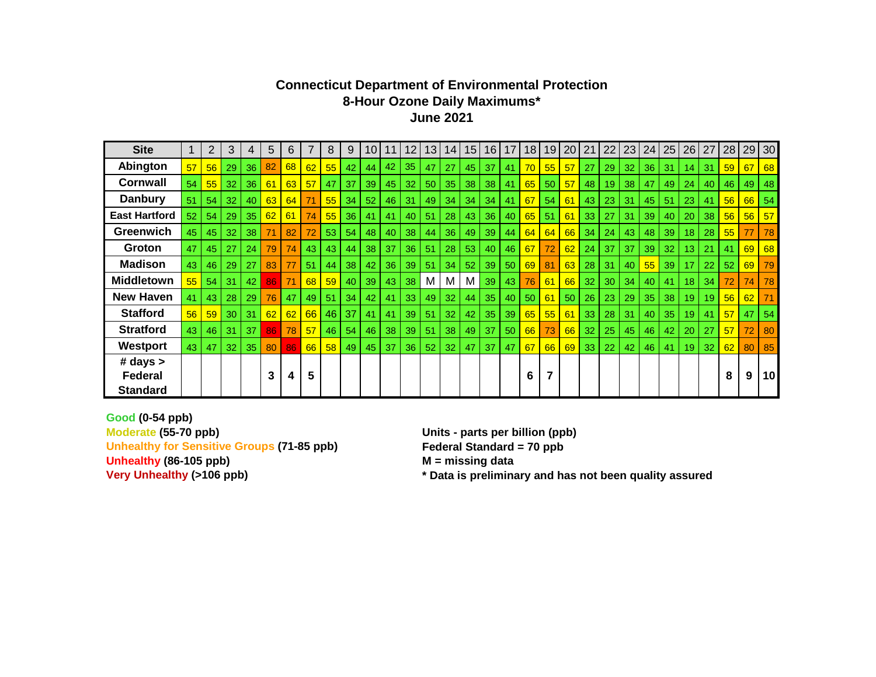#### **Connecticut Department of Environmental Protection 8-Hour Ozone Daily Maximums\* June 2021**

| <b>Site</b>          |                 | $\overline{2}$ | 3  | 4  | 5  | 6  | $\overline{7}$ | 8     | 9  | 10 <sup>1</sup> | 11              | 12 | 13 | 14              | 15              | 16              | 17 <sup>1</sup> | 18 <sup>1</sup> | 19 | 20        | 21              | 22 | 23 | 24 | 25              | 26              | 27 | 28 | 29 | 30 |
|----------------------|-----------------|----------------|----|----|----|----|----------------|-------|----|-----------------|-----------------|----|----|-----------------|-----------------|-----------------|-----------------|-----------------|----|-----------|-----------------|----|----|----|-----------------|-----------------|----|----|----|----|
| Abington             | 57              | 56             | 29 | 36 | 82 | 68 | 62             | 55    | 42 | 44              | 42              | 35 | 47 | 27              | 45              | 37              | 41              | 70              | 55 | 57        | 27              | 29 | 32 | 36 | -31             | 14              | 31 | 59 | 67 | 68 |
| <b>Cornwall</b>      | 54              | 55             | 32 | 36 | 61 | 63 | 57             | 47    | 37 | 39              | 45              | 32 | 50 | 35 <sup>1</sup> | 38              | 38              | 41              | 65              | 50 | 57        | 48              | 19 | 38 | 47 | 49              | 24              | 40 | 46 | 49 | 48 |
| <b>Danbury</b>       | 51              | 54             | 32 | 40 | 63 | 64 |                | 55    | 34 | 52              | 46              | 31 | 49 | 34              | 34              | 34              | 41              | 67              | 54 | 61        | 43              | 23 | 31 | 45 | 51              | 23              | 41 | 56 | 66 | 54 |
| <b>East Hartford</b> | 52 <sub>2</sub> | 54             | 29 | 35 | 62 | 61 | 74             | 55    | 36 | 41              | 41              | 40 | 51 | 28              | 43 <sup>1</sup> | 36 <sup>1</sup> | 40              | 65              | 51 | 61        | 33              | 27 | 31 | 39 | 40              | 20              | 38 | 56 | 56 | 57 |
| Greenwich            | 45              | 45             | 32 | 38 | 71 | 82 | 72             | 53    | 54 | 48              | 40              | 38 | 44 | 36              | 49              | 39              | 44              | 64              | 64 | 66        | 34              | 24 | 43 | 48 | 39              | 18              | 28 | 55 | 77 | 78 |
| Groton               | 47              | 45             | 27 | 24 | 79 | 74 | 43             | 43    | 44 | 38              | 37              | 36 | 51 | 28              | 53              | 40 l            | 46              | 67              | 72 | 62        | 24              | 37 | 37 | 39 | 32              | 13 <sup>1</sup> | 21 | 41 | 69 | 68 |
| <b>Madison</b>       | 43 <sup>1</sup> | 46             | 29 | 27 | 83 | 77 | 51             | 44    | 38 | 42              | 36 <sup>1</sup> | 39 | 51 | 34              | 52              | 39 <sup>1</sup> | 50              | 69              | 81 | 63        | 28 <sub>1</sub> | 31 | 40 | 55 | 39              | 17              | 22 | 52 | 69 | 79 |
| <b>Middletown</b>    | 55              | 54             | 31 | 42 | 86 | 71 | 68             | 59    | 40 | 39              | 43              | 38 | м  | М               | M               | 39              | 43              | 76              | 61 | <b>66</b> | 32              | 30 | 34 | 40 | 41              | 18 <sup>1</sup> | 34 | 72 | 74 | 78 |
| <b>New Haven</b>     | 41              | 43             | 28 | 29 | 76 | 47 | 49             | 51    | 34 | 42              | 41              | 33 | 49 | 32              | 44              | 35              | 40              | 50              | 61 | 50        | 26              | 23 | 29 | 35 | 38 <sup>1</sup> | 19 <sup>1</sup> | 19 | 56 | 62 | 71 |
| <b>Stafford</b>      | 56              | 59             | 30 | 31 | 62 | 62 | 66             | 46    | 37 | 41              | 41              | 39 | 51 | 32              | 42              | 35 <sup>1</sup> | 39              | 65              | 55 | 61        | 33              | 28 | 31 | 40 | 35              | 19 <sup>1</sup> | 41 | 57 | 47 | 54 |
| <b>Stratford</b>     | 43              | 46             | 31 | 37 | 86 | 78 | 57             | 46    | 54 | 46              | 38              | 39 | 51 | 38              | 49              | 37              | 50              | 66              | 73 | 66        | 32              | 25 | 45 | 46 | 42              | 20              | 27 | 57 | 72 | 80 |
| Westport             | 43              | 47             | 32 | 35 | 80 | 86 |                | 66 58 | 49 | 45              | 37              | 36 | 52 | 32              | 47              | 37              | 47              | 67              | 66 | 69        | 33              | 22 | 42 | 46 | 41              | 19              | 32 | 62 | 80 | 85 |
| # days               |                 |                |    |    |    |    |                |       |    |                 |                 |    |    |                 |                 |                 |                 |                 |    |           |                 |    |    |    |                 |                 |    |    |    |    |
| Federal              |                 |                |    |    | 3  | 4  | 5              |       |    |                 |                 |    |    |                 |                 |                 |                 | 6               | 7  |           |                 |    |    |    |                 |                 |    | 8  | 9  | 10 |
| <b>Standard</b>      |                 |                |    |    |    |    |                |       |    |                 |                 |    |    |                 |                 |                 |                 |                 |    |           |                 |    |    |    |                 |                 |    |    |    |    |

**Good (0-54 ppb) Moderate (55-70 ppb) Units - parts per billion (ppb)** Unhealthy for Sensitive Groups (71-85 ppb) Federal Standard = 70 ppb **Unhealthy (86-105 ppb) M = missing data**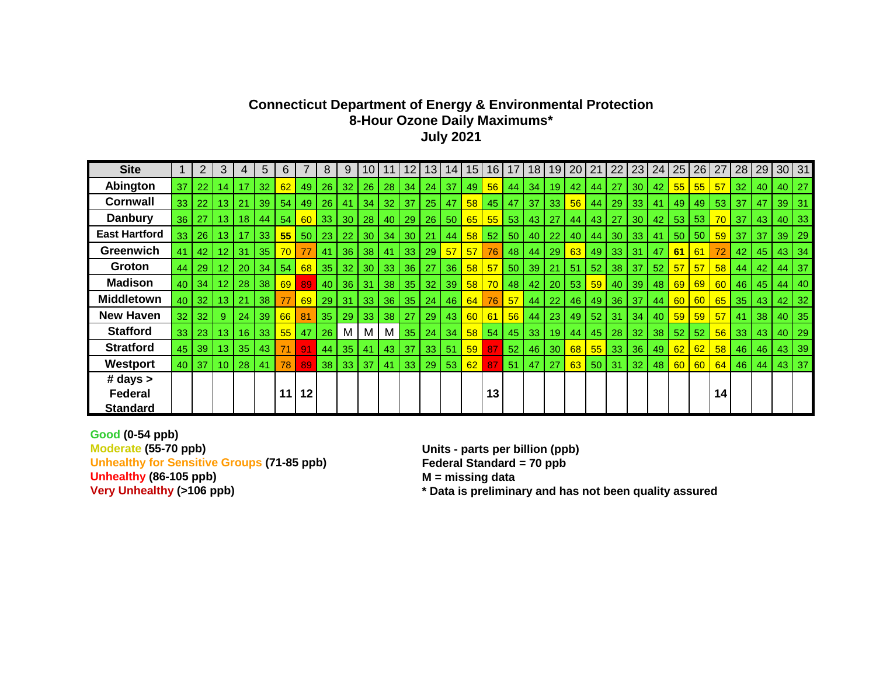## **Connecticut Department of Energy & Environmental Protection 8-Hour Ozone Daily Maximums\* July 2021**

| <b>Site</b>          |                 | $\overline{2}$  | 3               | 4     | 5  | 6   |         | 8               | 9               | 10 |    | 12              | 13 <sup>°</sup> | 14 <sup>1</sup>   | 15              | 16              | 17              | 18 | 19 | 20 <sub>1</sub> | 21 | 22              | 23              | 24              | 25        | 26                                                            | 27 | 28              | 29      | 30 31           |              |
|----------------------|-----------------|-----------------|-----------------|-------|----|-----|---------|-----------------|-----------------|----|----|-----------------|-----------------|-------------------|-----------------|-----------------|-----------------|----|----|-----------------|----|-----------------|-----------------|-----------------|-----------|---------------------------------------------------------------|----|-----------------|---------|-----------------|--------------|
| Abington             | 37              | 22              | 14              | 17    | 32 | 62  | 49      | $26 \mid$       | 32              | 26 | 28 | 34              | 24              | 37                | 49              | 56              | 44              | 34 | 19 | 42              | 44 | 27              | 30 <sup>1</sup> | 42 <sub>1</sub> |           | $\begin{array}{ c c c } \hline 55 & 55 \\ \hline \end{array}$ | 57 | 32              | 40      | $40$   27       |              |
| <b>Cornwall</b>      | 33 <sup>1</sup> | 22              | 13              | 21    | 39 | 54  | 49      | 26              | 41              | 34 | 32 | 37              | 25              | 47                | 58              | 45              | 47              | 37 | 33 | 56              | 44 | 29              | 33              | 41              | 49        | 49                                                            | 53 | 37              | 47      | 39 31           |              |
| <b>Danbury</b>       | 36 <sub>1</sub> | 27              | 13 <sup>°</sup> | 18    | 44 | 54  | 60      | 33 <sup>1</sup> | 30 <sup>1</sup> | 28 | 40 | 29              | 26              | 50                | 65              | 55              | 53              | 43 | 27 | 44              | 43 | 27              | 30 <sup>1</sup> | 42              | 53        | 53                                                            | 70 | 37              | 43      |                 | $40$   33    |
| <b>East Hartford</b> | 33 <sup>1</sup> | 26 <sup>1</sup> | 13 <sup>°</sup> | 17    | 33 | 55  | 50      | 23 <sub>1</sub> | 22              | 30 | 34 | 30 <sub>o</sub> | 21              | 44                | 58              | 52              | 50              | 40 | 22 | 40              | 44 | 30              | 33              | 41              | 50        | 50                                                            | 59 | 37              | 37      | 39 <sub>l</sub> | $\vert$ 29   |
| <b>Greenwich</b>     |                 | 42              | 12 <sup>2</sup> | 31    | 35 | 70  | 77      | 41              | 36              | 38 | 41 | 33              | 29              | 57                | 57              | 76              | 48              | 44 | 29 | 63              | 49 | -33             | 31              | 47              | 61        | 61                                                            | 72 | 42              | 45      | $43 \mid 34$    |              |
| Groton               | 44 I            | 29              | 12 <sup>2</sup> | 20    | 34 | 54  | 68      | -35 I           | 32              | 30 | 33 | 36              | 27              | 36                | 58 <sup>1</sup> | 57              | 50              | 39 | 21 | 51              | 52 | 38              | 37              | 52 <sub>2</sub> | 57        | 57                                                            | 58 | 44              | 42      |                 | 44 37        |
| <b>Madison</b>       |                 | 40 34           | 12 <sub>2</sub> | 28    | 38 | 69  | 89      | 40 <sup>1</sup> | 36              | 31 | 38 | 35              | 32              | -39               | 58              | 70              | 48              | 42 |    | 20 53           | 59 | 40              | 39 <sup>1</sup> | 48              | 69        | 69                                                            | 60 | 46 <sup>1</sup> | 45      | 44              | $\vert$ 40   |
| <b>Middletown</b>    |                 | $40$ 32         | 13 <sup>°</sup> | 21    | 38 | 77  | 69      | 29 <sub>1</sub> | 31 <sup>1</sup> | 33 |    | $36$ 35         | 24              | 46                | 64              | 76              | 57 <sub>o</sub> | 44 | 22 | 46              | 49 | 36 <sup>°</sup> | -37             | 44              | <b>60</b> | 60                                                            | 65 | 35              | 43      | $42$ 32         |              |
| New Haven            | 32 <sub>1</sub> | 32 <sub>1</sub> | 9               | 24    | 39 | 66  | 81      | 35 <sup>1</sup> | 29 <sup>1</sup> | 33 |    | $38   27  $     |                 | $29 \mid 43 \mid$ | 60              | 61              | 56              | 44 |    | 23   49   52    |    | 31              | $\vert$ 34      | 40              |           | $59$ 59                                                       | 57 |                 | $41$ 38 | 40 35           |              |
| <b>Stafford</b>      | 33 <sup>1</sup> | 23              | 13              | 16    | 33 | 551 | 47      | 26              | M               | M  | M  | 35              | 24              | 34                | 58 <sup>1</sup> | 54              | 45              | 33 | 19 | 44              | 45 | 28              | 32              | 38 <sup>1</sup> | 52        | 52                                                            | 56 | 33              | 43      | $40$   29       |              |
| <b>Stratford</b>     |                 | 45 39           |                 | 13 35 | 43 | 71  |         | 44              | 35 <sup>1</sup> | 41 | 43 | 37              |                 | 33 51             | 59              | 87 <sup>1</sup> | 52 <sub>2</sub> | 46 | 30 | 68 <sup>1</sup> |    | $55$ 33         | 36              | 49              | 62        | 62                                                            | 58 |                 | 46   46 | 43 39           |              |
| Westport             |                 | 40 37           | 10 <sup>°</sup> | 28    | 41 | 78  | 89      | 38 <sup>1</sup> | 33              | 37 | 41 | 33              |                 | 29 53             | 62              | 87              | 51              | 47 | 27 | 63              | 50 | 31              | 32              | 48              | 60        | 60                                                            | 64 | 46              | 44      |                 | $43 \mid 37$ |
| # days               |                 |                 |                 |       |    |     |         |                 |                 |    |    |                 |                 |                   |                 |                 |                 |    |    |                 |    |                 |                 |                 |           |                                                               |    |                 |         |                 |              |
| <b>Federal</b>       |                 |                 |                 |       |    | 11  | $12 \,$ |                 |                 |    |    |                 |                 |                   |                 | 13              |                 |    |    |                 |    |                 |                 |                 |           |                                                               | 14 |                 |         |                 |              |
| Standard             |                 |                 |                 |       |    |     |         |                 |                 |    |    |                 |                 |                   |                 |                 |                 |    |    |                 |    |                 |                 |                 |           |                                                               |    |                 |         |                 |              |

**Good (0-54 ppb) Moderate (55-70 ppb) Units - parts per billion (ppb) Unhealthy for Sensitive Groups (71-85 ppb)** Federal Standard **Unhealthy (86-105 ppb)** M = missing data **Unhealthy (86-105 ppb)**<br>Very Unhealthy (>106 ppb)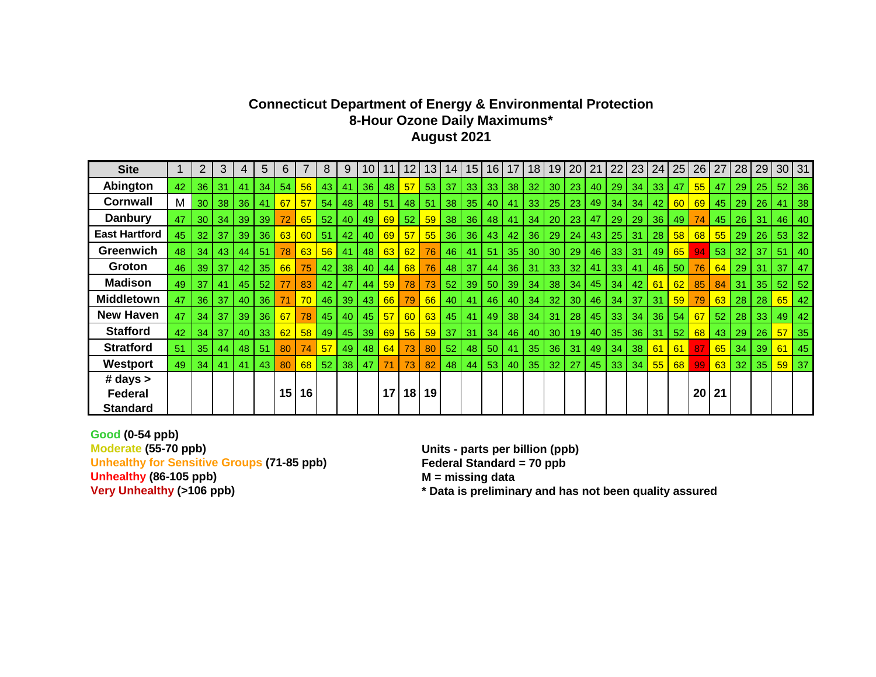## **Connecticut Department of Energy & Environmental Protection 8-Hour Ozone Daily Maximums\* August 2021**

| <b>Site</b>          |    | $\overline{2}$  | 3         | 4               | 5   | 6               |          | 8  | 9               | 10 | 11   | 12 | 13 <sup>1</sup> | 14 <sup>1</sup>                                                  | 15 <sub>l</sub> | 16 <sup>1</sup> | 17 | 18 <sup>1</sup> | 19 <sup>1</sup> | 20 21           |     | 22              | 23              | 24 | 25 | 26 | 27              | 28              | 29              |                 | 30 31        |
|----------------------|----|-----------------|-----------|-----------------|-----|-----------------|----------|----|-----------------|----|------|----|-----------------|------------------------------------------------------------------|-----------------|-----------------|----|-----------------|-----------------|-----------------|-----|-----------------|-----------------|----|----|----|-----------------|-----------------|-----------------|-----------------|--------------|
| Abington             | 42 | 36              | 31        | 41              | 34  | 54              | 56       | 43 | 41              | 36 | 48   | 57 | 53              | 37                                                               | 33              | 33 <sup>1</sup> | 38 | 32 <sub>2</sub> | 30              | 23              | 40  | 29              | 34              | 33 | 47 | 55 | 47              | 29              | 25 <sub>1</sub> |                 | $52$   36    |
| <b>Cornwall</b>      | M  | 30 <sup>1</sup> | 38        | 36              | 41  | 67              | 57       | 54 | 48              | 48 | 51   | 48 | 51              | 38                                                               | 35              | 40              | 41 | 33              | 25              | 23              | 49  | 34              | 34              | 42 | 60 | 69 | 45              | 29              | 26              | 41              | 38           |
| <b>Danbury</b>       | 47 | 30 <sup>1</sup> | 34        | 39              | 39  | 72              | 65       | 52 | 40              | 49 | 69   | 52 |                 | $\begin{array}{ c c c c c } \hline 59 & 38 \ \hline \end{array}$ | 36              | 48              | 41 | 34              | 20              | 23              | 47  | 29              | 29              | 36 | 49 | 74 | 45              | 26              | $-31$           |                 | $46$   $40$  |
| <b>East Hartford</b> | 45 | 32 <sup>1</sup> | -37       | 39 <sup>1</sup> | 36  |                 | 63 60 51 |    | 42 l            | 40 | 69   | 57 | 55              | 36                                                               | 36              | 43              | 42 |                 | 36 29           | 24              | 43  | 25              | 31              | 28 | 58 | 68 | 55              | 29              | 26              |                 | 53 32        |
| <b>Greenwich</b>     | 48 | 34              | 43        | 44              | 51  | 78              | 63       | 56 | 41              | 48 | 63   | 62 | 76              | 46                                                               | 41              | 51              | 35 | 30 <sub>o</sub> | 30              | 29              | 46  | 33              | 31              | 49 | 65 | 94 | 53              | 32              | -37             | 51              | 40           |
| Groton               | 46 | 39 <sup>°</sup> | 37        | 42              | 35  | 66              | 75       | 42 | 38 <sup>1</sup> | 40 | 44 I | 68 | 76              | 48                                                               | 37 <sup>1</sup> | 44              | 36 | 31              | 33              | 32 <sub>2</sub> | -41 | 33 <sup>1</sup> | 41              | 46 | 50 | 76 | 64              | 29              | 31              | 37 <sup>1</sup> | 47           |
| <b>Madison</b>       | 49 | 37              | 41        | 45              | 52  | 77              | 83       | 42 | 47              | 44 | 59   | 78 | 73              | 52                                                               | 39              | 50 <sup>1</sup> | 39 | 34              | 38              | 34              | 45  | 34              | 42              | 61 | 62 | 85 | 84              | 31              | 35 <sub>1</sub> |                 | 52 52        |
| <b>Middletown</b>    | 47 |                 | $36$   37 | 40              | 36  | 71              | 70       | 46 | $39 \mid$       | 43 | 66   | 79 | 66              | 40                                                               | 41              | 46              | 40 | 34              | 32 <sub>2</sub> | 30              | 46  | 34              | 37              | 31 | 59 | 79 | 63              | 28              | 28 <sub>1</sub> |                 | $65$   42    |
| <b>New Haven</b>     | 47 | 34 <sup>1</sup> | 37        | 39 <sup>1</sup> | 36  | 67              | 78       | 45 | 40 l            | 45 | 57   | 60 | 63              | 45                                                               | 41              | 49              | 38 | 34              | 31              | 28              | 45  | 33              | 34              | 36 | 54 | 67 | 52 <sub>2</sub> | 28              | 33              |                 | $49 \mid 42$ |
| <b>Stafford</b>      | 42 | 34              | 37        | 40              | 33  | 62              | 58       | 49 | 45              | 39 | 69   | 56 | 59              | -37                                                              | 31              | 34              | 46 | 40              | 30              | 19              | 40  | 35 <sup>1</sup> | 36              | 31 | 52 | 68 | 43              | 29              | 26              |                 | $57$ 35      |
| <b>Stratford</b>     | 51 | 35              | 44        | 48              | -51 | 80              | 74       | 57 | 49              | 48 | 64   | 73 | 80              | 52                                                               | 48              | 50              | 41 | 35              | 36              | 31              | 49  | 34              | 38              | 61 | 61 | 87 | 65              | 34              | 39              |                 | $61$ 45      |
| Westport             | 49 | 34              | 41        | 41              | 43  | 80              | 68       | 52 | 38              | 47 | 71   | 73 | 82              | 48                                                               | 44              | 53              | 40 |                 | $35 \mid 32$    | 27              | 45  | 33              | 34 <sup>1</sup> | 55 | 68 | 99 | 63              | 32 <sub>2</sub> | 35              |                 | $59$ 37      |
| # days               |    |                 |           |                 |     |                 |          |    |                 |    |      |    |                 |                                                                  |                 |                 |    |                 |                 |                 |     |                 |                 |    |    |    |                 |                 |                 |                 |              |
| <b>Federal</b>       |    |                 |           |                 |     | 15 <sub>1</sub> | 16       |    |                 |    | 17   |    | 18 19           |                                                                  |                 |                 |    |                 |                 |                 |     |                 |                 |    |    | 20 | 21              |                 |                 |                 |              |
| <b>Standard</b>      |    |                 |           |                 |     |                 |          |    |                 |    |      |    |                 |                                                                  |                 |                 |    |                 |                 |                 |     |                 |                 |    |    |    |                 |                 |                 |                 |              |

**Good (0-54 ppb) Moderate (55-70 ppb) Units - parts per billion (ppb) Unhealthy for Sensitive Groups (71-85 ppb)** Federal Standard **Unhealthy (86-105 ppb)** M = missing data **Unhealthy (86-105 ppb)**<br>Very Unhealthy (>106 ppb)